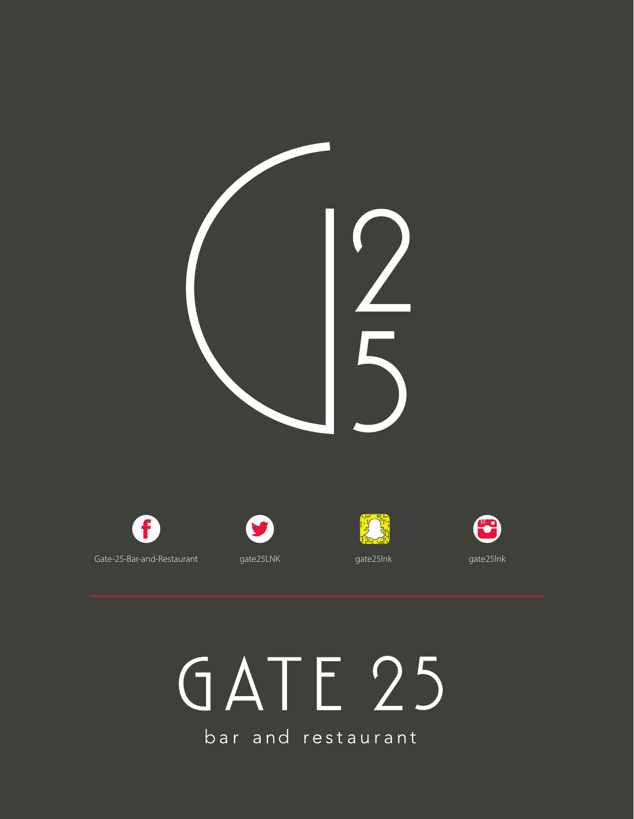

# GATE 25

bar and restaurant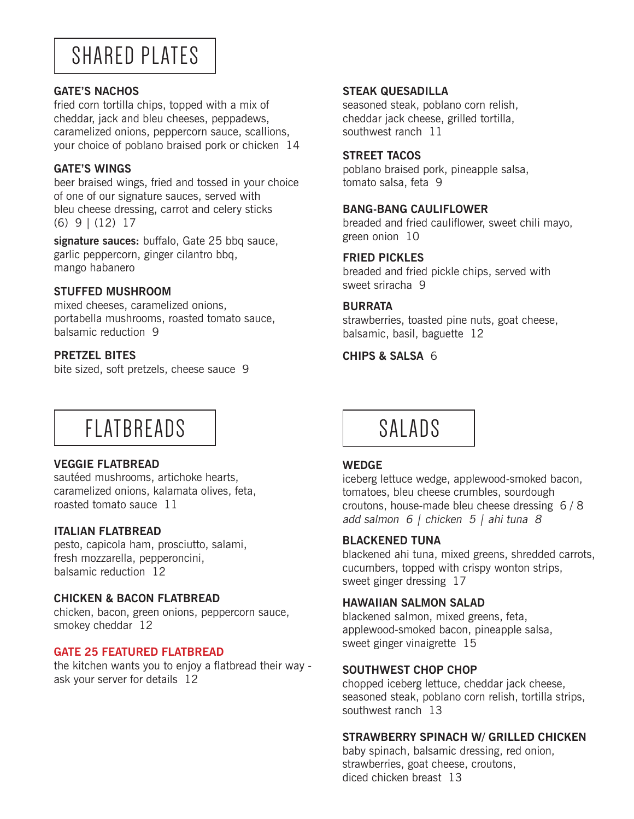## SHARED PLATES

#### **GATE'S NACHOS**

fried corn tortilla chips, topped with a mix of cheddar, jack and bleu cheeses, peppadews, caramelized onions, peppercorn sauce, scallions, your choice of poblano braised pork or chicken 14

#### **GATE'S WINGS**

beer braised wings, fried and tossed in your choice of one of our signature sauces, served with bleu cheese dressing, carrot and celery sticks (6) 9 | (12) 17

**signature sauces:** buffalo, Gate 25 bbq sauce, garlic peppercorn, ginger cilantro bbq, mango habanero

#### **STUFFED MUSHROOM**

mixed cheeses, caramelized onions, portabella mushrooms, roasted tomato sauce, balsamic reduction 9

#### **PRETZEL BITES**

bite sized, soft pretzels, cheese sauce 9

## FLATBREADS

#### **VEGGIE FLATBREAD**

sautéed mushrooms, artichoke hearts, caramelized onions, kalamata olives, feta, roasted tomato sauce 11

#### **ITALIAN FLATBREAD**

pesto, capicola ham, prosciutto, salami, fresh mozzarella, pepperoncini, balsamic reduction 12

#### **CHICKEN & BACON FLATBREAD**

chicken, bacon, green onions, peppercorn sauce, smokey cheddar 12

#### **GATE 25 FEATURED FLATBREAD**

the kitchen wants you to enjoy a flatbread their way ask your server for details 12

#### **STEAK QUESADILLA**

seasoned steak, poblano corn relish, cheddar jack cheese, grilled tortilla, southwest ranch 11

#### **STREET TACOS**

poblano braised pork, pineapple salsa, tomato salsa, feta 9

#### **BANG-BANG CAULIFLOWER**

breaded and fried cauliflower, sweet chili mayo, green onion 10

#### **FRIED PICKLES**

breaded and fried pickle chips, served with sweet sriracha 9

#### **BURRATA**

strawberries, toasted pine nuts, goat cheese, balsamic, basil, baguette 12

#### **CHIPS & SALSA** 6



#### **WEDGE**

iceberg lettuce wedge, applewood-smoked bacon, tomatoes, bleu cheese crumbles, sourdough croutons, house-made bleu cheese dressing 6 / 8 add salmon 6 | chicken 5 | ahi tuna 8

#### **BLACKENED TUNA**

blackened ahi tuna, mixed greens, shredded carrots, cucumbers, topped with crispy wonton strips, sweet ginger dressing 17

#### **HAWAIIAN SALMON SALAD**

blackened salmon, mixed greens, feta, applewood-smoked bacon, pineapple salsa, sweet ginger vinaigrette 15

#### **SOUTHWEST CHOP CHOP**

chopped iceberg lettuce, cheddar jack cheese, seasoned steak, poblano corn relish, tortilla strips, southwest ranch 13

#### **STRAWBERRY SPINACH W/ GRILLED CHICKEN**

baby spinach, balsamic dressing, red onion, strawberries, goat cheese, croutons, diced chicken breast 13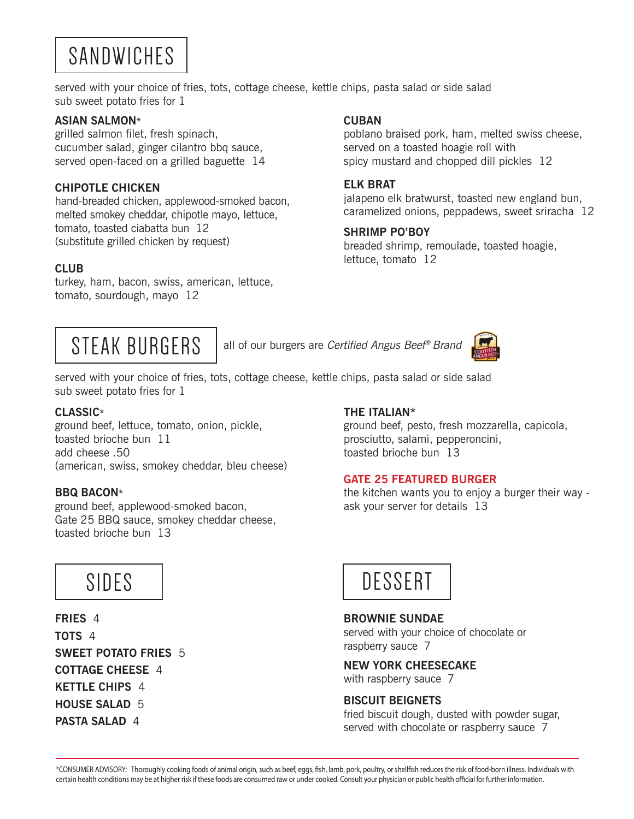## SANDWICHES

served with your choice of fries, tots, cottage cheese, kettle chips, pasta salad or side salad sub sweet potato fries for 1

#### **ASIAN SALMON\***

grilled salmon filet, fresh spinach, cucumber salad, ginger cilantro bbq sauce, served open-faced on a grilled baguette 14

#### **CHIPOTLE CHICKEN**

hand-breaded chicken, applewood-smoked bacon, melted smokey cheddar, chipotle mayo, lettuce, tomato, toasted ciabatta bun 12 (substitute grilled chicken by request)

#### **CLUB**

turkey, ham, bacon, swiss, american, lettuce, tomato, sourdough, mayo 12

#### **CUBAN**

poblano braised pork, ham, melted swiss cheese, served on a toasted hoagie roll with spicy mustard and chopped dill pickles 12

#### **ELK BRAT**

jalapeno elk bratwurst, toasted new england bun, caramelized onions, peppadews, sweet sriracha 12

#### **SHRIMP PO'BOY**

breaded shrimp, remoulade, toasted hoagie, lettuce, tomato 12



STEAK BURGERS all of our burgers are Certified Angus Beef® Brand



served with your choice of fries, tots, cottage cheese, kettle chips, pasta salad or side salad sub sweet potato fries for 1

#### **CLASSIC\***

ground beef, lettuce, tomato, onion, pickle, toasted brioche bun 11 add cheese .50 (american, swiss, smokey cheddar, bleu cheese)

#### **BBQ BACON\***

ground beef, applewood-smoked bacon, Gate 25 BBQ sauce, smokey cheddar cheese, toasted brioche bun 13

### **THE ITALIAN\***

ground beef, pesto, fresh mozzarella, capicola, prosciutto, salami, pepperoncini, toasted brioche bun 13

#### **GATE 25 FEATURED BURGER**

the kitchen wants you to enjoy a burger their way ask your server for details 13



**FRIES** 4 **TOTS** 4 **SWEET POTATO FRIES** 5 **COTTAGE CHEESE** 4 **KETTLE CHIPS** 4 **HOUSE SALAD** 5 **PASTA SALAD** 4



#### **BROWNIE SUNDAE**

served with your choice of chocolate or raspberry sauce 7

**NEW YORK CHEESECAKE** with raspberry sauce 7

#### **BISCUIT BEIGNETS**

fried biscuit dough, dusted with powder sugar, served with chocolate or raspberry sauce 7

\*CONSUMER ADVISORY: Thoroughly cooking foods of animal origin, such as beef, eggs, fish, lamb, pork, poultry, or shellfish reduces the risk of food-born illness. Individuals with certain health conditions may be at higher risk if these foods are consumed raw or under cooked. Consult your physician or public health official for further information.